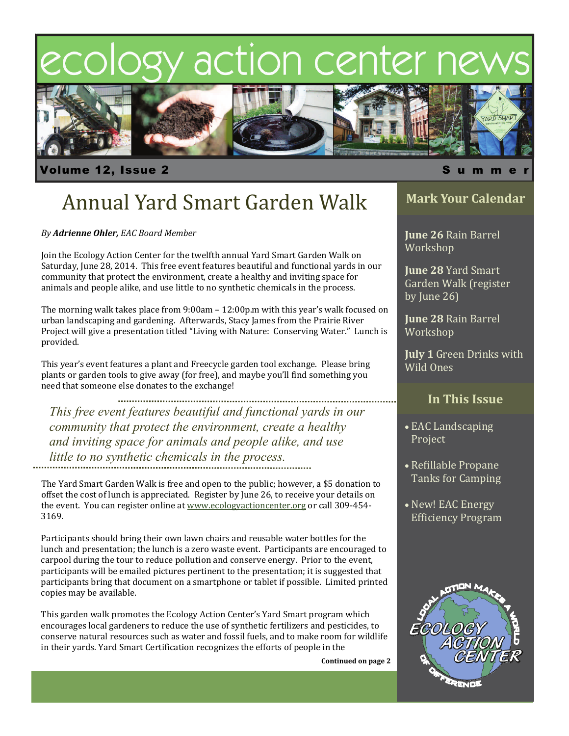# ecology action center ne



volume 12, Issue 2 Summer is a state of the state of  $\sim$  Summer is a state of  $\sim$  Summer is a state of  $\sim$  Summer is a state of  $\sim$  Summer is a state of  $\sim$  Summer is a state of  $\sim$  Summer is a state of  $\sim$  Summer i

# Annual Yard Smart Garden Walk

*By Adrienne Ohler, EAC Board Member*

Join the Ecology Action Center for the twelfth annual Yard Smart Garden Walk on Saturday, June 28, 2014. This free event features beautiful and functional yards in our community that protect the environment, create a healthy and inviting space for animals and people alike, and use little to no synthetic chemicals in the process.

The morning walk takes place from  $9:00$ am  $-12:00$ p.m with this year's walk focused on urban landscaping and gardening. Afterwards, Stacy James from the Prairie River Project will give a presentation titled "Living with Nature: Conserving Water." Lunch is provided. 

This year's event features a plant and Freecycle garden tool exchange. Please bring plants or garden tools to give away (for free), and maybe you'll find something you need that someone else donates to the exchange!

................................... *This free event features beautiful and functional yards in our community that protect the environment, create a healthy and inviting space for animals and people alike, and use little to no synthetic chemicals in the process.* 

The Yard Smart Garden Walk is free and open to the public; however, a \$5 donation to offset the cost of lunch is appreciated. Register by June 26, to receive your details on the event. You can register online at www.ecologyactioncenter.org or call 309-454-3169. 

Participants should bring their own lawn chairs and reusable water bottles for the lunch and presentation; the lunch is a zero waste event. Participants are encouraged to carpool during the tour to reduce pollution and conserve energy. Prior to the event, participants will be emailed pictures pertinent to the presentation; it is suggested that participants bring that document on a smartphone or tablet if possible. Limited printed copies may be available.

This garden walk promotes the Ecology Action Center's Yard Smart program which encourages local gardeners to reduce the use of synthetic fertilizers and pesticides, to conserve natural resources such as water and fossil fuels, and to make room for wildlife in their yards. Yard Smart Certification recognizes the efforts of people in the

**Continued on page 2**

### **Mark Your Calendar**

**June 26 Rain Barrel** Workshop

**June 28 Yard Smart** Garden Walk (register by June  $26$ )

**June 28** Rain Barrel Workshop 

**July 1** Green Drinks with Wild Ones

### **In This Issue**

- EAC Landscaping Project
- Refillable Propane Tanks for Camping
- New! EAC Energy Efficiency Program

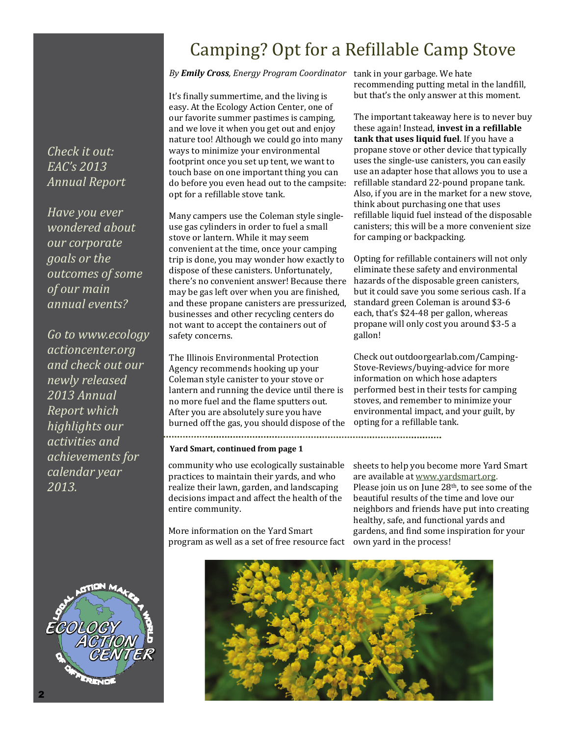### Camping? Opt for a Refillable Camp Stove

#### By **Emily Cross**, *Energy Program Coordinator* tank in your garbage. We hate

It's finally summertime, and the living is easy. At the Ecology Action Center, one of our favorite summer pastimes is camping, and we love it when you get out and enjoy nature too! Although we could go into many ways to minimize your environmental footprint once you set up tent, we want to touch base on one important thing you can do before you even head out to the campsite: opt for a refillable stove tank.

Many campers use the Coleman style singleuse gas cylinders in order to fuel a small stove or lantern. While it may seem convenient at the time, once your camping trip is done, you may wonder how exactly to dispose of these canisters. Unfortunately, there's no convenient answer! Because there may be gas left over when you are finished, and these propane canisters are pressurized, businesses and other recycling centers do not want to accept the containers out of safety concerns.

The Illinois Environmental Protection Agency recommends hooking up your Coleman style canister to your stove or lantern and running the device until there is no more fuel and the flame sputters out. After you are absolutely sure you have burned off the gas, you should dispose of the 

#### **Yard Smart, continued from page 1**

community who use ecologically sustainable practices to maintain their yards, and who realize their lawn, garden, and landscaping decisions impact and affect the health of the entire community.

More information on the Yard Smart program as well as a set of free resource fact recommending putting metal in the landfill, but that's the only answer at this moment.

The important takeaway here is to never buy these again! Instead, **invest in a reϐillable tank that uses liquid fuel**. If you have a propane stove or other device that typically uses the single-use canisters, you can easily use an adapter hose that allows you to use a refillable standard 22-pound propane tank. Also, if you are in the market for a new stove, think about purchasing one that uses refillable liquid fuel instead of the disposable canisters; this will be a more convenient size for camping or backpacking.

Opting for refillable containers will not only eliminate these safety and environmental hazards of the disposable green canisters, but it could save you some serious cash. If a standard green Coleman is around \$3-6 each, that's \$24-48 per gallon, whereas propane will only cost you around \$3-5 a gallon! 

Check out outdoorgearlab.com/Camping-Stove-Reviews/buying-advice for more information on which hose adapters performed best in their tests for camping stoves, and remember to minimize your environmental impact, and your guilt, by opting for a refillable tank.

sheets to help you become more Yard Smart are available at [www.yardsmart.org](http://www.yardsmart.org). Please join us on June  $28<sup>th</sup>$ , to see some of the beautiful results of the time and love our neighbors and friends have put into creating healthy, safe, and functional vards and gardens, and find some inspiration for your own yard in the process!



*Check it out: EAC's 2013 Annual Report*

*Have you ever wondered about our corporate goals or the outcomes of some of our main annual events?* 

*Go to www.ecology actioncenter.org and check out our newly released 2013 Annual Report which highlights our activities and achievements for calendar year 2013.* 

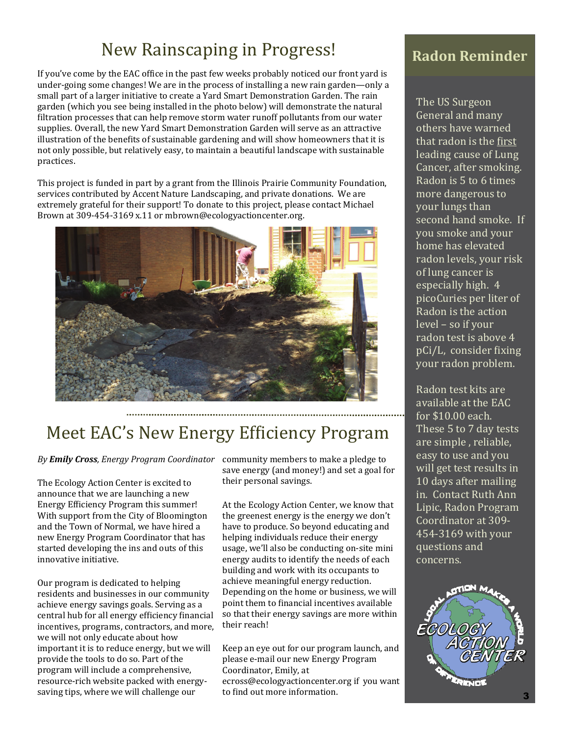### New Rainscaping in Progress! Radon Reminder

If you've come by the EAC office in the past few weeks probably noticed our front vard is under-going some changes! We are in the process of installing a new rain garden—only a small part of a larger initiative to create a Yard Smart Demonstration Garden. The rain garden (which you see being installed in the photo below) will demonstrate the natural filtration processes that can help remove storm water runoff pollutants from our water supplies. Overall, the new Yard Smart Demonstration Garden will serve as an attractive illustration of the benefits of sustainable gardening and will show homeowners that it is not only possible, but relatively easy, to maintain a beautiful landscape with sustainable practices. 

This project is funded in part by a grant from the Illinois Prairie Community Foundation, services contributed by Accent Nature Landscaping, and private donations. We are extremely grateful for their support! To donate to this project, please contact Michael Brown at 309-454-3169 x.11 or mbrown@ecologyactioncenter.org.



## Meet EAC's New Energy Efficiency Program

#### By *Emily Cross, Energy Program Coordinator* community members to make a pledge to

The Ecology Action Center is excited to announce that we are launching a new Energy Efficiency Program this summer! With support from the City of Bloomington and the Town of Normal, we have hired a new Energy Program Coordinator that has started developing the ins and outs of this innovative initiative.

Our program is dedicated to helping residents and businesses in our community achieve energy savings goals. Serving as a central hub for all energy efficiency financial incentives, programs, contractors, and more, we will not only educate about how important it is to reduce energy, but we will provide the tools to do so. Part of the program will include a comprehensive, resource-rich website packed with energysaving tips, where we will challenge our

save energy (and money!) and set a goal for their personal savings.

At the Ecology Action Center, we know that the greenest energy is the energy we don't have to produce. So beyond educating and helping individuals reduce their energy usage, we'll also be conducting on-site mini energy audits to identify the needs of each building and work with its occupants to achieve meaningful energy reduction. Depending on the home or business, we will point them to financial incentives available so that their energy savings are more within their reach!

Keep an eye out for our program launch, and please e-mail our new Energy Program Coordinator, Emily, at

ecross@ecologyactioncenter.org if you want to find out more information.

The US Surgeon General and many others have warned that radon is the first leading cause of Lung Cancer, after smoking. Radon is 5 to 6 times more dangerous to your lungs than second hand smoke. If you smoke and your home has elevated radon levels, your risk of lung cancer is especially high. 4 picoCuries per liter of Radon is the action level – so if your radon test is above 4 pCi/L, consider fixing your radon problem.

Radon test kits are available at the EAC for  $$10.00$  each. These 5 to 7 day tests are simple, reliable, easy to use and you will get test results in 10 days after mailing in. Contact Ruth Ann Lipic, Radon Program Coordinator at 309-454-3169 with your questions and concerns.